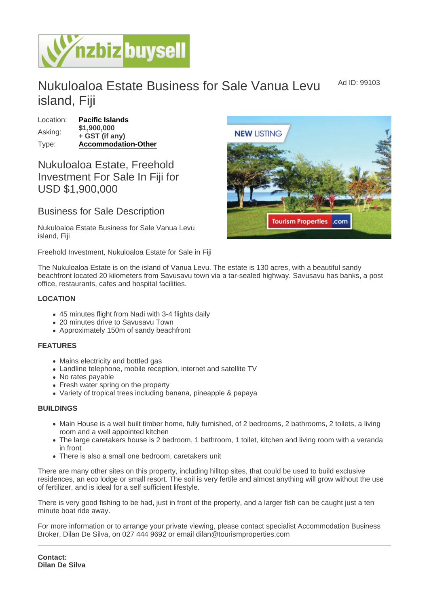Ad ID: 99103

# Nukuloaloa Estate Business for Sale Vanua Levu island, Fiji

Location: [Pacific Islands](https://www.nzbizbuysell.co.nz/businesses-for-sale/location/Pacific-Islands) Asking: \$1,900,000 + GST (if any) Type: [Accommodation-Other](https://www.nzbizbuysell.co.nz/businesses-for-sale/Accommodation-Other/New-Zealand)

## Nukuloaloa Estate, Freehold Investment For Sale In Fiji for USD \$1,900,000

### Business for Sale Description

Nukuloaloa Estate Business for Sale Vanua Levu island, Fiji

Freehold Investment, Nukuloaloa Estate for Sale in Fiji

The Nukuloaloa Estate is on the island of Vanua Levu. The estate is 130 acres, with a beautiful sandy beachfront located 20 kilometers from Savusavu town via a tar-sealed highway. Savusavu has banks, a post office, restaurants, cafes and hospital facilities.

#### LOCATION

- 45 minutes flight from Nadi with 3-4 flights daily
- 20 minutes drive to Savusavu Town
- Approximately 150m of sandy beachfront

#### FEATURES

- Mains electricity and bottled gas
- Landline telephone, mobile reception, internet and satellite TV
- No rates payable
- Fresh water spring on the property
- Variety of tropical trees including banana, pineapple & papaya

#### BUILDINGS

- Main House is a well built timber home, fully furnished, of 2 bedrooms, 2 bathrooms, 2 toilets, a living room and a well appointed kitchen
- The large caretakers house is 2 bedroom, 1 bathroom, 1 toilet, kitchen and living room with a veranda in front
- There is also a small one bedroom, caretakers unit

There are many other sites on this property, including hilltop sites, that could be used to build exclusive residences, an eco lodge or small resort. The soil is very fertile and almost anything will grow without the use of fertilizer, and is ideal for a self sufficient lifestyle.

There is very good fishing to be had, just in front of the property, and a larger fish can be caught just a ten minute boat ride away.

For more information or to arrange your private viewing, please contact specialist Accommodation Business Broker, Dilan De Silva, on 027 444 9692 or email dilan@tourismproperties.com